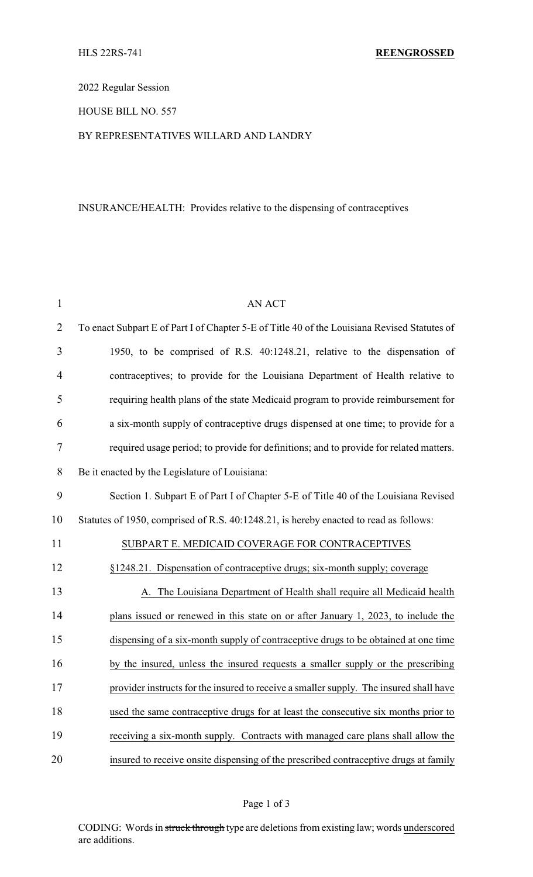2022 Regular Session

HOUSE BILL NO. 557

### BY REPRESENTATIVES WILLARD AND LANDRY

# INSURANCE/HEALTH: Provides relative to the dispensing of contraceptives

| $\mathbf{1}$   | <b>AN ACT</b>                                                                                |
|----------------|----------------------------------------------------------------------------------------------|
| $\overline{2}$ | To enact Subpart E of Part I of Chapter 5-E of Title 40 of the Louisiana Revised Statutes of |
| 3              | 1950, to be comprised of R.S. 40:1248.21, relative to the dispensation of                    |
| $\overline{4}$ | contraceptives; to provide for the Louisiana Department of Health relative to                |
| 5              | requiring health plans of the state Medicaid program to provide reimbursement for            |
| 6              | a six-month supply of contraceptive drugs dispensed at one time; to provide for a            |
| $\tau$         | required usage period; to provide for definitions; and to provide for related matters.       |
| 8              | Be it enacted by the Legislature of Louisiana:                                               |
| 9              | Section 1. Subpart E of Part I of Chapter 5-E of Title 40 of the Louisiana Revised           |
| 10             | Statutes of 1950, comprised of R.S. 40:1248.21, is hereby enacted to read as follows:        |
| 11             | SUBPART E. MEDICAID COVERAGE FOR CONTRACEPTIVES                                              |
| 12             | §1248.21. Dispensation of contraceptive drugs; six-month supply; coverage                    |
| 13             | A. The Louisiana Department of Health shall require all Medicaid health                      |
| 14             | plans issued or renewed in this state on or after January 1, 2023, to include the            |
| 15             | dispensing of a six-month supply of contraceptive drugs to be obtained at one time           |
| 16             | by the insured, unless the insured requests a smaller supply or the prescribing              |
| 17             | provider instructs for the insured to receive a smaller supply. The insured shall have       |
| 18             | used the same contraceptive drugs for at least the consecutive six months prior to           |
| 19             | receiving a six-month supply. Contracts with managed care plans shall allow the              |
| 20             | insured to receive onsite dispensing of the prescribed contraceptive drugs at family         |

CODING: Words in struck through type are deletions from existing law; words underscored are additions.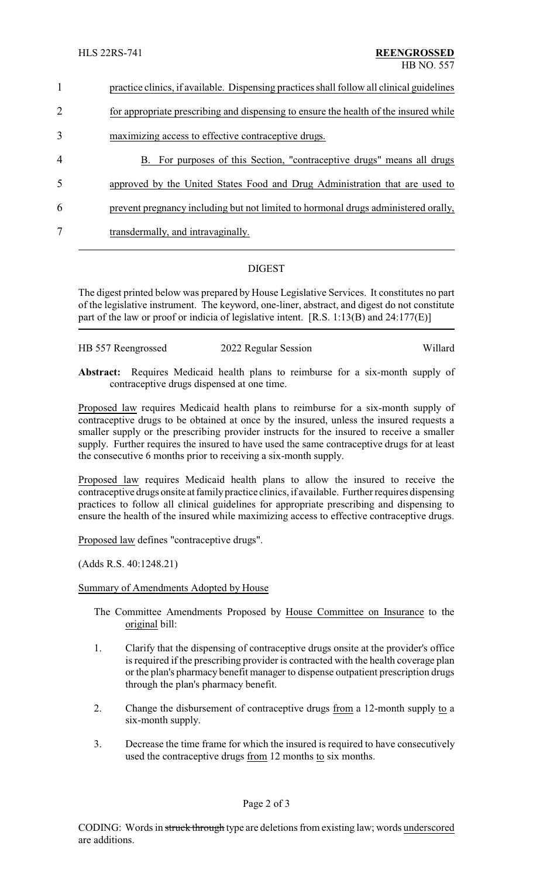| $\mathbf{1}$ | practice clinics, if available. Dispensing practices shall follow all clinical guidelines |  |
|--------------|-------------------------------------------------------------------------------------------|--|
| 2            | for appropriate prescribing and dispensing to ensure the health of the insured while      |  |
| 3            | maximizing access to effective contraceptive drugs.                                       |  |
| 4            | B. For purposes of this Section, "contraceptive drugs" means all drugs                    |  |
| 5            | approved by the United States Food and Drug Administration that are used to               |  |
| 6            | prevent pregnancy including but not limited to hormonal drugs administered orally,        |  |
| 7            | transdermally, and intravaginally.                                                        |  |
|              |                                                                                           |  |

## DIGEST

The digest printed below was prepared by House Legislative Services. It constitutes no part of the legislative instrument. The keyword, one-liner, abstract, and digest do not constitute part of the law or proof or indicia of legislative intent. [R.S. 1:13(B) and 24:177(E)]

| HB 557 Reengrossed | 2022 Regular Session | Willard |
|--------------------|----------------------|---------|
|                    |                      |         |
|                    |                      |         |

**Abstract:** Requires Medicaid health plans to reimburse for a six-month supply of contraceptive drugs dispensed at one time.

Proposed law requires Medicaid health plans to reimburse for a six-month supply of contraceptive drugs to be obtained at once by the insured, unless the insured requests a smaller supply or the prescribing provider instructs for the insured to receive a smaller supply. Further requires the insured to have used the same contraceptive drugs for at least the consecutive 6 months prior to receiving a six-month supply.

Proposed law requires Medicaid health plans to allow the insured to receive the contraceptive drugs onsite at familypractice clinics, if available. Further requires dispensing practices to follow all clinical guidelines for appropriate prescribing and dispensing to ensure the health of the insured while maximizing access to effective contraceptive drugs.

Proposed law defines "contraceptive drugs".

(Adds R.S. 40:1248.21)

### Summary of Amendments Adopted by House

- The Committee Amendments Proposed by House Committee on Insurance to the original bill:
- 1. Clarify that the dispensing of contraceptive drugs onsite at the provider's office is required if the prescribing provider is contracted with the health coverage plan or the plan's pharmacy benefit manager to dispense outpatient prescription drugs through the plan's pharmacy benefit.
- 2. Change the disbursement of contraceptive drugs from a 12-month supply to a six-month supply.
- 3. Decrease the time frame for which the insured is required to have consecutively used the contraceptive drugs from 12 months to six months.